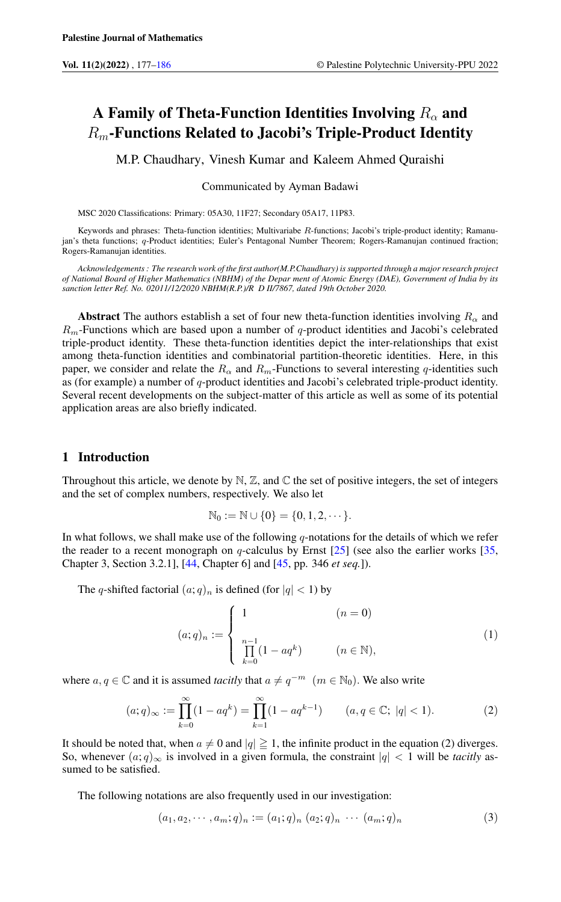# A Family of Theta-Function Identities Involving  $R_{\alpha}$  and  $R_m$ -Functions Related to Jacobi's Triple-Product Identity

M.P. Chaudhary, Vinesh Kumar and Kaleem Ahmed Quraishi

Communicated by Ayman Badawi

MSC 2020 Classifications: Primary: 05A30, 11F27; Secondary 05A17, 11P83.

Keywords and phrases: Theta-function identities; Multivariabe R-functions; Jacobi's triple-product identity; Ramanujan's theta functions; q-Product identities; Euler's Pentagonal Number Theorem; Rogers-Ramanujan continued fraction; Rogers-Ramanujan identities.

*Acknowledgements : The research work of the first author(M.P.Chaudhary) is supported through a major research project of National Board of Higher Mathematics (NBHM) of the Depar ment of Atomic Energy (DAE), Government of India by its sanction letter Ref. No. 02011/12/2020 NBHM(R.P.)/R D II/7867, dated 19th October 2020.*

**Abstract** The authors establish a set of four new theta-function identities involving  $R_{\alpha}$  and  $R_m$ -Functions which are based upon a number of q-product identities and Jacobi's celebrated triple-product identity. These theta-function identities depict the inter-relationships that exist among theta-function identities and combinatorial partition-theoretic identities. Here, in this paper, we consider and relate the  $R_{\alpha}$  and  $R_{m}$ -Functions to several interesting q-identities such as (for example) a number of  $q$ -product identities and Jacobi's celebrated triple-product identity. Several recent developments on the subject-matter of this article as well as some of its potential application areas are also briefly indicated.

## 1 Introduction

Throughout this article, we denote by  $N$ ,  $\mathbb{Z}$ , and  $\mathbb{C}$  the set of positive integers, the set of integers and the set of complex numbers, respectively. We also let

$$
\mathbb{N}_0:=\mathbb{N}\cup\{0\}=\{0,1,2,\cdots\}.
$$

In what follows, we shall make use of the following  $q$ -notations for the details of which we refer the reader to a recent monograph on  $q$ -calculus by Ernst [\[25\]](#page-8-0) (see also the earlier works [\[35,](#page-8-1) Chapter 3, Section 3.2.1], [\[44,](#page-9-0) Chapter 6] and [\[45,](#page-9-1) pp. 346 *et seq.*]).

The q-shifted factorial  $(a;q)_n$  is defined (for  $|q| < 1$ ) by

$$
(a;q)_n := \begin{cases} 1 & (n = 0) \\ \prod_{k=0}^{n-1} (1 - aq^k) & (n \in \mathbb{N}), \end{cases}
$$
 (1)

where  $a, q \in \mathbb{C}$  and it is assumed *tacitly* that  $a \neq q^{-m}$   $(m \in \mathbb{N}_0)$ . We also write

$$
(a;q)_{\infty} := \prod_{k=0}^{\infty} (1 - aq^k) = \prod_{k=1}^{\infty} (1 - aq^{k-1}) \qquad (a,q \in \mathbb{C}; \ |q| < 1). \tag{2}
$$

It should be noted that, when  $a \neq 0$  and  $|q| \geq 1$ , the infinite product in the equation (2) diverges. So, whenever  $(a;q)_{\infty}$  is involved in a given formula, the constraint  $|q| < 1$  will be *tacitly* assumed to be satisfied.

The following notations are also frequently used in our investigation:

$$
(a_1, a_2, \cdots, a_m; q)_n := (a_1; q)_n (a_2; q)_n \cdots (a_m; q)_n
$$
\n(3)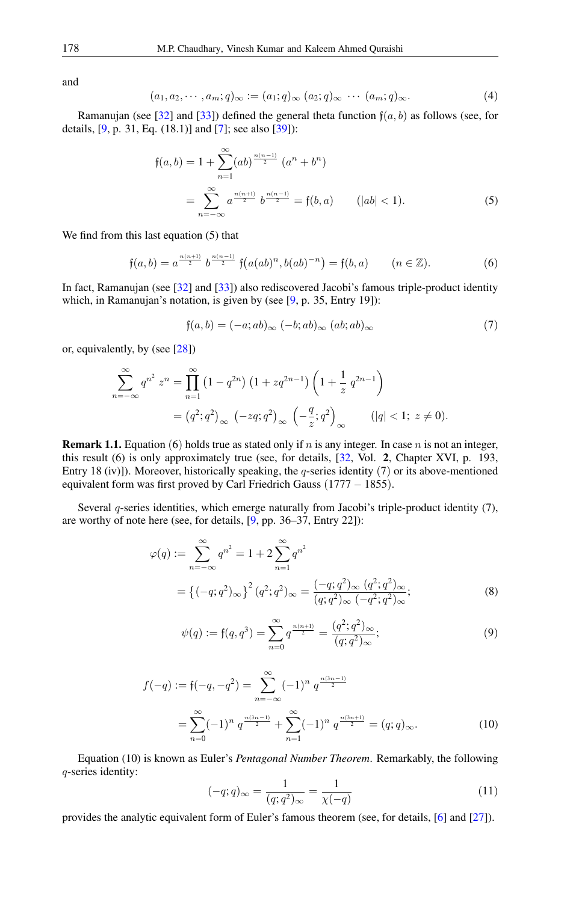and

$$
(a_1, a_2, \cdots, a_m; q)_{\infty} := (a_1; q)_{\infty} (a_2; q)_{\infty} \cdots (a_m; q)_{\infty}.
$$
<sup>(4)</sup>

Ramanujan (see [\[32\]](#page-8-2) and [\[33\]](#page-8-3)) defined the general theta function  $f(a, b)$  as follows (see, for details,  $[9, p. 31, Eq. (18.1)]$  $[9, p. 31, Eq. (18.1)]$  and  $[7]$ ; see also  $[39]$ :

$$
\mathfrak{f}(a,b) = 1 + \sum_{n=1}^{\infty} (ab)^{\frac{n(n-1)}{2}} (a^n + b^n)
$$
  
= 
$$
\sum_{n=-\infty}^{\infty} a^{\frac{n(n+1)}{2}} b^{\frac{n(n-1)}{2}} = \mathfrak{f}(b,a) \qquad (|ab| < 1).
$$
 (5)

We find from this last equation (5) that

$$
\mathfrak{f}(a,b) = a^{\frac{n(n+1)}{2}} b^{\frac{n(n-1)}{2}} \mathfrak{f}\big(a(ab)^n, b(ab)^{-n}\big) = \mathfrak{f}(b,a) \qquad (n \in \mathbb{Z}). \tag{6}
$$

In fact, Ramanujan (see [\[32\]](#page-8-2) and [\[33\]](#page-8-3)) also rediscovered Jacobi's famous triple-product identity which, in Ramanujan's notation, is given by (see [\[9,](#page-7-1) p. 35, Entry 19]):

$$
\mathfrak{f}(a,b) = (-a; ab)_{\infty} (-b; ab)_{\infty} (ab; ab)_{\infty} \tag{7}
$$

or, equivalently, by (see [\[28\]](#page-8-4))

$$
\sum_{n=-\infty}^{\infty} q^{n^2} z^n = \prod_{n=1}^{\infty} (1 - q^{2n}) (1 + zq^{2n-1}) \left( 1 + \frac{1}{z} q^{2n-1} \right)
$$
  
=  $(q^2; q^2)_{\infty} (-zq; q^2)_{\infty} \left( -\frac{q}{z}; q^2 \right)_{\infty}$   $(|q| < 1; z \neq 0).$ 

**Remark 1.1.** Equation (6) holds true as stated only if n is any integer. In case n is not an integer, this result (6) is only approximately true (see, for details, [\[32,](#page-8-2) Vol. 2, Chapter XVI, p. 193, Entry 18 (iv)]). Moreover, historically speaking, the q-series identity (7) or its above-mentioned equivalent form was first proved by Carl Friedrich Gauss (1777 – 1855).

Several q-series identities, which emerge naturally from Jacobi's triple-product identity (7), are worthy of note here (see, for details, [\[9,](#page-7-1) pp. 36–37, Entry 22]):

$$
\varphi(q) := \sum_{n=-\infty}^{\infty} q^{n^2} = 1 + 2 \sum_{n=1}^{\infty} q^{n^2}
$$
  
=  $\{(-q; q^2)_{\infty}\}^2 (q^2; q^2)_{\infty} = \frac{(-q; q^2)_{\infty} (q^2; q^2)_{\infty}}{(q; q^2)_{\infty} (-q^2; q^2)_{\infty}};$  (8)

$$
\psi(q) := \mathfrak{f}(q, q^3) = \sum_{n=0}^{\infty} q^{\frac{n(n+1)}{2}} = \frac{(q^2; q^2)_{\infty}}{(q; q^2)_{\infty}};
$$
\n(9)

$$
f(-q) := f(-q, -q^2) = \sum_{n=-\infty}^{\infty} (-1)^n q^{\frac{n(3n-1)}{2}}
$$
  
= 
$$
\sum_{n=0}^{\infty} (-1)^n q^{\frac{n(3n-1)}{2}} + \sum_{n=1}^{\infty} (-1)^n q^{\frac{n(3n+1)}{2}} = (q; q)_{\infty}.
$$
 (10)

Equation (10) is known as Euler's *Pentagonal Number Theorem*. Remarkably, the following q-series identity:

$$
(-q;q)_{\infty} = \frac{1}{(q;q^2)_{\infty}} = \frac{1}{\chi(-q)}
$$
\n(11)

provides the analytic equivalent form of Euler's famous theorem (see, for details, [\[6\]](#page-7-3) and [\[27\]](#page-8-5)).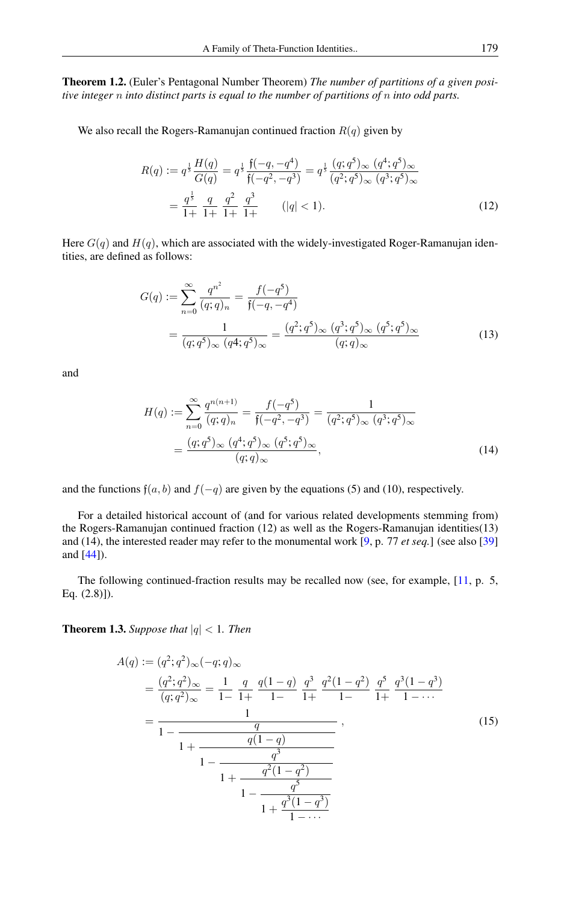Theorem 1.2. (Euler's Pentagonal Number Theorem) *The number of partitions of a given positive integer* n *into distinct parts is equal to the number of partitions of* n *into odd parts.*

We also recall the Rogers-Ramanujan continued fraction  $R(q)$  given by

$$
R(q) := q^{\frac{1}{5}} \frac{H(q)}{G(q)} = q^{\frac{1}{5}} \frac{\mathfrak{f}(-q, -q^4)}{\mathfrak{f}(-q^2, -q^3)} = q^{\frac{1}{5}} \frac{(q; q^5)_{\infty} (q^4; q^5)_{\infty}}{(q^2; q^5)_{\infty} (q^3; q^5)_{\infty}}
$$

$$
= \frac{q^{\frac{1}{5}}}{1+} \frac{q}{1+} \frac{q^2}{1+} \frac{q^3}{1+} \qquad (|q| < 1). \tag{12}
$$

Here  $G(q)$  and  $H(q)$ , which are associated with the widely-investigated Roger-Ramanujan identities, are defined as follows:

$$
G(q) := \sum_{n=0}^{\infty} \frac{q^{n^2}}{(q;q)_n} = \frac{f(-q^5)}{\mathfrak{f}(-q,-q^4)}
$$
  
= 
$$
\frac{1}{(q;q^5)_{\infty} (q^4;q^5)_{\infty}} = \frac{(q^2;q^5)_{\infty} (q^3;q^5)_{\infty} (q^5;q^5)_{\infty}}{(q;q)_{\infty}}
$$
(13)

and

$$
H(q) := \sum_{n=0}^{\infty} \frac{q^{n(n+1)}}{(q;q)_n} = \frac{f(-q^5)}{f(-q^2,-q^3)} = \frac{1}{(q^2;q^5)_{\infty} (q^3;q^5)_{\infty}}
$$

$$
= \frac{(q;q^5)_{\infty} (q^4;q^5)_{\infty} (q^5;q^5)_{\infty}}{(q;q)_{\infty}},
$$
(14)

and the functions  $f(a, b)$  and  $f(-q)$  are given by the equations (5) and (10), respectively.

For a detailed historical account of (and for various related developments stemming from) the Rogers-Ramanujan continued fraction (12) as well as the Rogers-Ramanujan identities(13) and (14), the interested reader may refer to the monumental work [\[9,](#page-7-1) p. 77 *et seq.*] (see also [\[39\]](#page-9-2) and [\[44\]](#page-9-0)).

The following continued-fraction results may be recalled now (see, for example, [\[11,](#page-8-6) p. 5, Eq. (2.8)]).

**Theorem 1.3.** Suppose that  $|q| < 1$ . Then

$$
A(q) := (q^2; q^2)_{\infty}(-q; q)_{\infty}
$$
  
= 
$$
\frac{(q^2; q^2)_{\infty}}{(q; q^2)_{\infty}} = \frac{1}{1-} \frac{q}{1+} \frac{q(1-q)}{1-} \frac{q^3}{1+} \frac{q^2(1-q^2)}{1-} \frac{q^5}{1+} \frac{q^3(1-q^3)}{1-} \cdots
$$
  
= 
$$
\frac{1}{1-} \frac{q}{1+} \frac{q(1-q)}{1-} \frac{q^3}{1+} \frac{q^2(1-q^2)}{1-} \frac{q^5}{1+} \frac{q^5}{1-} \cdots}
$$
(15)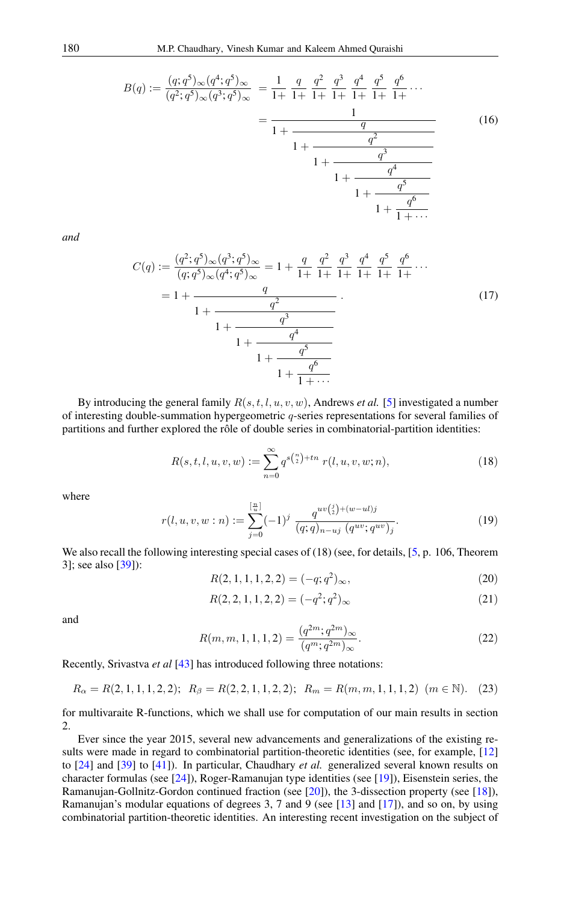$$
B(q) := \frac{(q;q^5)_{\infty}(q^4;q^5)_{\infty}}{(q^2;q^5)_{\infty}(q^3;q^5)_{\infty}} = \frac{1}{1+} \frac{q}{1+} \frac{q^2}{1+} \frac{q^3}{1+} \frac{q^4}{1+} \frac{q^5}{1+} \frac{q^6}{1+} \cdots
$$
  

$$
= \frac{1}{1+} \frac{q}{1+} \frac{q^2}{1+} \frac{q^3}{1+} \frac{q^4}{1+} \frac{q^5}{1+} \cdots
$$
  

$$
1+ \frac{q^3}{1+} \frac{q^4}{1+} \cdots
$$
  
(16)

*and*

$$
C(q) := \frac{(q^2; q^5)_{\infty} (q^3; q^5)_{\infty}}{(q; q^5)_{\infty} (q^4; q^5)_{\infty}} = 1 + \frac{q}{1+} \frac{q^2}{1+} \frac{q^3}{1+} \frac{q^4}{1+} \frac{q^5}{1+} \frac{q^6}{1+} \cdots
$$
  
= 1 + 
$$
\frac{q}{1+} \frac{q^2}{1+} \frac{q^3}{1+} \frac{q^4}{1+} \frac{q^5}{1+} \cdots
$$
 (17)

By introducing the general family  $R(s, t, l, u, v, w)$ , Andrews *et al.* [\[5\]](#page-7-4) investigated a number of interesting double-summation hypergeometric  $q$ -series representations for several families of partitions and further explored the rôle of double series in combinatorial-partition identities:

$$
R(s, t, l, u, v, w) := \sum_{n=0}^{\infty} q^{s {n \choose 2} + tn} r(l, u, v, w; n),
$$
\n(18)

where

$$
r(l, u, v, w:n) := \sum_{j=0}^{\left[\frac{n}{u}\right]} (-1)^j \frac{q^{uv\binom{j}{2} + (w - ul)j}}{(q;q)_{n-uj} (q^{uv}; q^{uv})_j}.
$$
 (19)

We also recall the following interesting special cases of (18) (see, for details, [\[5,](#page-7-4) p. 106, Theorem 3]; see also [\[39\]](#page-9-2)):

$$
R(2, 1, 1, 1, 2, 2) = (-q; q^2)_{\infty},
$$
\n(20)

$$
R(2,2,1,1,2,2) = (-q^2;q^2)_{\infty}
$$
\n(21)

and

$$
R(m, m, 1, 1, 1, 2) = \frac{(q^{2m}; q^{2m})_{\infty}}{(q^m; q^{2m})_{\infty}}.
$$
\n(22)

Recently, Srivastva *et al* [\[43\]](#page-9-3) has introduced following three notations:

$$
R_{\alpha} = R(2, 1, 1, 1, 2, 2); \ R_{\beta} = R(2, 2, 1, 1, 2, 2); \ R_{m} = R(m, m, 1, 1, 1, 2) \ (m \in \mathbb{N}). \tag{23}
$$

for multivaraite R-functions, which we shall use for computation of our main results in section 2.

Ever since the year 2015, several new advancements and generalizations of the existing results were made in regard to combinatorial partition-theoretic identities (see, for example, [\[12\]](#page-8-7) to [\[24\]](#page-8-8) and [\[39\]](#page-9-2) to [\[41\]](#page-9-4)). In particular, Chaudhary *et al.* generalized several known results on character formulas (see [\[24\]](#page-8-8)), Roger-Ramanujan type identities (see [\[19\]](#page-8-9)), Eisenstein series, the Ramanujan-Gollnitz-Gordon continued fraction (see [\[20\]](#page-8-10)), the 3-dissection property (see [\[18\]](#page-8-11)), Ramanujan's modular equations of degrees 3, 7 and 9 (see [\[13\]](#page-8-12) and [\[17\]](#page-8-13)), and so on, by using combinatorial partition-theoretic identities. An interesting recent investigation on the subject of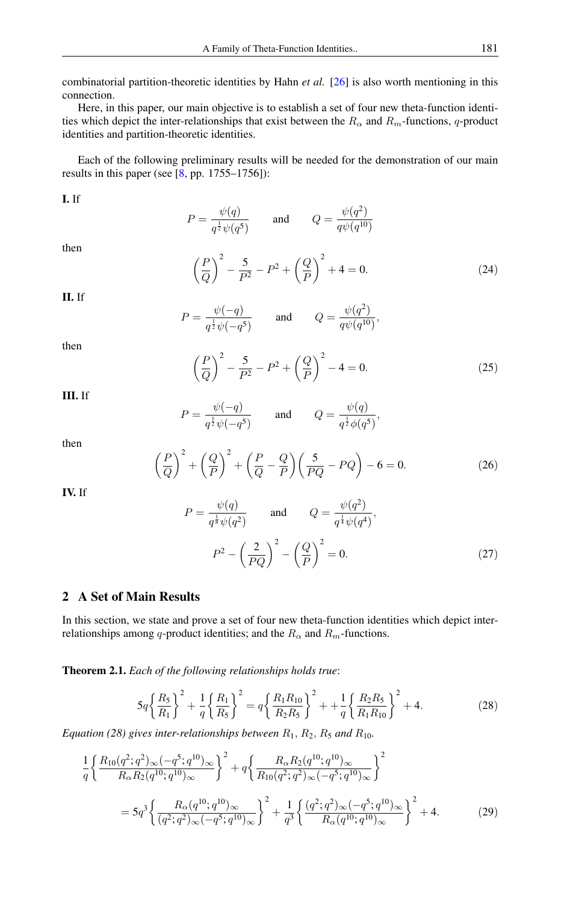combinatorial partition-theoretic identities by Hahn *et al.* [\[26\]](#page-8-14) is also worth mentioning in this connection.

Here, in this paper, our main objective is to establish a set of four new theta-function identities which depict the inter-relationships that exist between the  $R_{\alpha}$  and  $R_m$ -functions, q-product identities and partition-theoretic identities.

Each of the following preliminary results will be needed for the demonstration of our main results in this paper (see [\[8,](#page-7-5) pp. 1755–1756]):

I. If

 $P = \frac{\psi(q)}{1+\epsilon}$  $q^{\frac{1}{2}}\psi(q^5)$ and  $Q = \frac{\psi(q^2)}{\psi(q^2)}$  $q\psi(q^{10})$ 

then

$$
\left(\frac{P}{Q}\right)^2 - \frac{5}{P^2} - P^2 + \left(\frac{Q}{P}\right)^2 + 4 = 0.
$$
 (24)

II. If

$$
P = \frac{\psi(-q)}{q^{\frac{1}{2}}\psi(-q^5)} \quad \text{and} \quad Q = \frac{\psi(q^2)}{q\psi(q^{10})},
$$

then

$$
\left(\frac{P}{Q}\right)^2 - \frac{5}{P^2} - P^2 + \left(\frac{Q}{P}\right)^2 - 4 = 0.
$$
 (25)

,

III. If

$$
P = \frac{\psi(-q)}{q^{\frac{1}{2}}\psi(-q^5)} \quad \text{and} \quad Q = \frac{\psi(q)}{q^{\frac{1}{2}}\phi(q^5)}
$$

then

$$
\left(\frac{P}{Q}\right)^2 + \left(\frac{Q}{P}\right)^2 + \left(\frac{P}{Q} - \frac{Q}{P}\right)\left(\frac{5}{PQ} - PQ\right) - 6 = 0.
$$
\n(26)

IV. If

$$
P = \frac{\psi(q)}{q^{\frac{1}{8}}\psi(q^2)} \quad \text{and} \quad Q = \frac{\psi(q^2)}{q^{\frac{1}{4}}\psi(q^4)},
$$

$$
P^2 - \left(\frac{2}{PQ}\right)^2 - \left(\frac{Q}{P}\right)^2 = 0.
$$
 (27)

# 2 A Set of Main Results

In this section, we state and prove a set of four new theta-function identities which depict interrelationships among q-product identities; and the  $R_{\alpha}$  and  $R_m$ -functions.

<span id="page-4-0"></span>Theorem 2.1. *Each of the following relationships holds true*:

$$
5q\left\{\frac{R_5}{R_1}\right\}^2 + \frac{1}{q}\left\{\frac{R_1}{R_5}\right\}^2 = q\left\{\frac{R_1R_{10}}{R_2R_5}\right\}^2 + \frac{1}{q}\left\{\frac{R_2R_5}{R_1R_{10}}\right\}^2 + 4. \tag{28}
$$

*Equation (28) gives inter-relationships between*  $R_1$ ,  $R_2$ ,  $R_5$  *and*  $R_{10}$ *.* 

$$
\frac{1}{q} \left\{ \frac{R_{10}(q^2;q^2)_{\infty}(-q^5;q^{10})_{\infty}}{R_{\alpha}R_2(q^{10};q^{10})_{\infty}} \right\}^2 + q \left\{ \frac{R_{\alpha}R_2(q^{10};q^{10})_{\infty}}{R_{10}(q^2;q^2)_{\infty}(-q^5;q^{10})_{\infty}} \right\}^2
$$
\n
$$
= 5q^3 \left\{ \frac{R_{\alpha}(q^{10};q^{10})_{\infty}}{(q^2;q^2)_{\infty}(-q^5;q^{10})_{\infty}} \right\}^2 + \frac{1}{q^3} \left\{ \frac{(q^2;q^2)_{\infty}(-q^5;q^{10})_{\infty}}{R_{\alpha}(q^{10};q^{10})_{\infty}} \right\}^2 + 4. \tag{29}
$$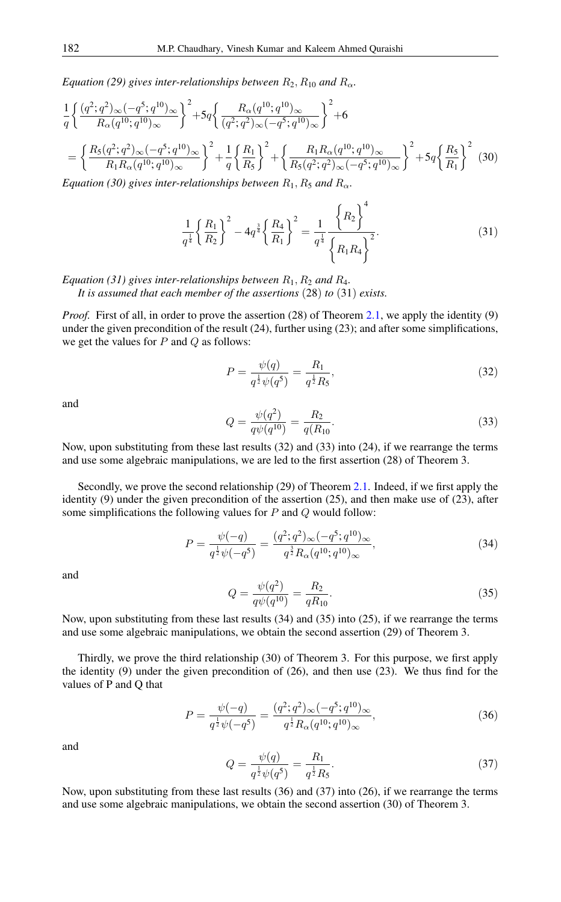*Equation (29) gives inter-relationships between*  $R_2$ ,  $R_{10}$  *and*  $R_{\alpha}$ *.* 

$$
\frac{1}{q} \left\{ \frac{(q^2;q^2)_{\infty}(-q^5;q^{10})_{\infty}}{R_{\alpha}(q^{10};q^{10})_{\infty}} \right\}^2 + 5q \left\{ \frac{R_{\alpha}(q^{10};q^{10})_{\infty}}{(q^2;q^2)_{\infty}(-q^5;q^{10})_{\infty}} \right\}^2 + 6
$$
\n
$$
= \left\{ \frac{R_5(q^2;q^2)_{\infty}(-q^5;q^{10})_{\infty}}{R_1R_{\alpha}(q^{10};q^{10})_{\infty}} \right\}^2 + \frac{1}{q} \left\{ \frac{R_1}{R_5} \right\}^2 + \left\{ \frac{R_1R_{\alpha}(q^{10};q^{10})_{\infty}}{R_5(q^2;q^2)_{\infty}(-q^5;q^{10})_{\infty}} \right\}^2 + 5q \left\{ \frac{R_5}{R_1} \right\}^2 \tag{30}
$$

*Equation (30) gives inter-relationships between*  $R_1, R_5$  *and*  $R_\alpha$ *.* 

$$
\frac{1}{q^{\frac{1}{4}}}\left\{\frac{R_1}{R_2}\right\}^2 - 4q^{\frac{3}{4}}\left\{\frac{R_4}{R_1}\right\}^2 = \frac{1}{q^{\frac{1}{4}}}\frac{\left\{R_2\right\}^4}{\left\{R_1R_4\right\}^2}.
$$
\n(31)

*Equation (31) gives inter-relationships between*  $R_1, R_2$  *and*  $R_4$ *.* 

*It is assumed that each member of the assertions* (28) *to* (31) *exists.*

*Proof.* First of all, in order to prove the assertion (28) of Theorem [2.1,](#page-4-0) we apply the identity (9) under the given precondition of the result (24), further using (23); and after some simplifications, we get the values for  $P$  and  $Q$  as follows:

$$
P = \frac{\psi(q)}{q^{\frac{1}{2}}\psi(q^5)} = \frac{R_1}{q^{\frac{1}{2}}R_5},\tag{32}
$$

and

$$
Q = \frac{\psi(q^2)}{q\psi(q^{10})} = \frac{R_2}{q(R_{10})}.
$$
\n(33)

Now, upon substituting from these last results (32) and (33) into (24), if we rearrange the terms and use some algebraic manipulations, we are led to the first assertion (28) of Theorem 3.

Secondly, we prove the second relationship (29) of Theorem [2.1.](#page-4-0) Indeed, if we first apply the identity (9) under the given precondition of the assertion (25), and then make use of (23), after some simplifications the following values for  $P$  and  $Q$  would follow:

$$
P = \frac{\psi(-q)}{q^{\frac{1}{2}}\psi(-q^5)} = \frac{(q^2;q^2)_{\infty}(-q^5;q^{10})_{\infty}}{q^{\frac{3}{2}}R_{\alpha}(q^{10};q^{10})_{\infty}},
$$
\n(34)

and

$$
Q = \frac{\psi(q^2)}{q\psi(q^{10})} = \frac{R_2}{qR_{10}}.\tag{35}
$$

Now, upon substituting from these last results (34) and (35) into (25), if we rearrange the terms and use some algebraic manipulations, we obtain the second assertion (29) of Theorem 3.

Thirdly, we prove the third relationship (30) of Theorem 3. For this purpose, we first apply the identity (9) under the given precondition of (26), and then use (23). We thus find for the values of P and Q that

$$
P = \frac{\psi(-q)}{q^{\frac{1}{2}}\psi(-q^5)} = \frac{(q^2;q^2)_{\infty}(-q^5;q^{10})_{\infty}}{q^{\frac{1}{2}}R_{\alpha}(q^{10};q^{10})_{\infty}},
$$
\n(36)

and

$$
Q = \frac{\psi(q)}{q^{\frac{1}{2}}\psi(q^5)} = \frac{R_1}{q^{\frac{1}{2}}R_5}.
$$
\n(37)

Now, upon substituting from these last results (36) and (37) into (26), if we rearrange the terms and use some algebraic manipulations, we obtain the second assertion (30) of Theorem 3.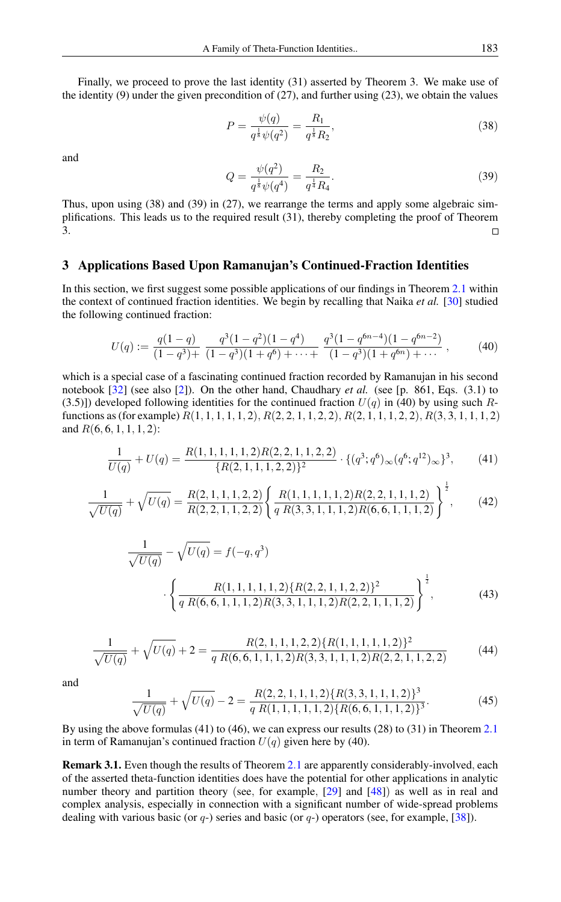Finally, we proceed to prove the last identity (31) asserted by Theorem 3. We make use of the identity  $(9)$  under the given precondition of  $(27)$ , and further using  $(23)$ , we obtain the values

$$
P = \frac{\psi(q)}{q^{\frac{1}{8}}\psi(q^2)} = \frac{R_1}{q^{\frac{1}{8}}R_2},\tag{38}
$$

and

$$
Q = \frac{\psi(q^2)}{q^{\frac{1}{8}}\psi(q^4)} = \frac{R_2}{q^{\frac{1}{4}}R_4}.
$$
\n(39)

Thus, upon using (38) and (39) in (27), we rearrange the terms and apply some algebraic simplifications. This leads us to the required result (31), thereby completing the proof of Theorem 3.  $\Box$ 

#### 3 Applications Based Upon Ramanujan's Continued-Fraction Identities

In this section, we first suggest some possible applications of our findings in Theorem [2.1](#page-4-0) within the context of continued fraction identities. We begin by recalling that Naika *et al.* [\[30\]](#page-8-15) studied the following continued fraction:

$$
U(q) := \frac{q(1-q)}{(1-q^3)+} \frac{q^3(1-q^2)(1-q^4)}{(1-q^3)(1+q^6)+\cdots+} \frac{q^3(1-q^{6n-4})(1-q^{6n-2})}{(1-q^3)(1+q^{6n})+\cdots},
$$
 (40)

which is a special case of a fascinating continued fraction recorded by Ramanujan in his second notebook [\[32\]](#page-8-2) (see also [\[2\]](#page-7-6)). On the other hand, Chaudhary *et al.* (see [p. 861, Eqs. (3.1) to (3.5)]) developed following identities for the continued fraction  $U(q)$  in (40) by using such Rfunctions as (for example)  $R(1, 1, 1, 1, 1, 2)$ ,  $R(2, 2, 1, 1, 2, 2)$ ,  $R(2, 1, 1, 1, 2, 2)$ ,  $R(3, 3, 1, 1, 1, 2)$ and  $R(6, 6, 1, 1, 1, 2)$ :

$$
\frac{1}{U(q)} + U(q) = \frac{R(1, 1, 1, 1, 1, 2)R(2, 2, 1, 1, 2, 2)}{\{R(2, 1, 1, 1, 2, 2)\}^2} \cdot \{(q^3; q^6)_{\infty}(q^6; q^{12})_{\infty}\}^3, \tag{41}
$$

$$
\frac{1}{\sqrt{U(q)}} + \sqrt{U(q)} = \frac{R(2, 1, 1, 1, 2, 2)}{R(2, 2, 1, 1, 2, 2)} \left\{ \frac{R(1, 1, 1, 1, 1, 2)R(2, 2, 1, 1, 1, 2)}{q R(3, 3, 1, 1, 1, 2)R(6, 6, 1, 1, 1, 2)} \right\}^{\frac{1}{2}},
$$
(42)

$$
\frac{1}{\sqrt{U(q)}} - \sqrt{U(q)} = f(-q, q^3)
$$
\n
$$
\left\{ \frac{R(1, 1, 1, 1, 1, 2) \{R(2, 2, 1, 1, 2, 2)\}^2}{q R(6, 6, 1, 1, 1, 2) R(3, 3, 1, 1, 1, 2) R(2, 2, 1, 1, 1, 2)} \right\}^{\frac{1}{2}},
$$
\n(43)

$$
\frac{1}{\sqrt{U(q)}} + \sqrt{U(q)} + 2 = \frac{R(2, 1, 1, 1, 2, 2)\{R(1, 1, 1, 1, 1, 2)\}^2}{q \ R(6, 6, 1, 1, 1, 2)R(3, 3, 1, 1, 1, 2)R(2, 2, 1, 1, 2, 2)}
$$
(44)

and

$$
\frac{1}{\sqrt{U(q)}} + \sqrt{U(q)} - 2 = \frac{R(2,2,1,1,1,2)\{R(3,3,1,1,1,2)\}^3}{q R(1,1,1,1,1,2)\{R(6,6,1,1,1,2)\}^3}.
$$
(45)

By using the above formulas (41) to (46), we can express our results (28) to (31) in Theorem [2.1](#page-4-0) in term of Ramanujan's continued fraction  $U(q)$  given here by (40).

Remark 3.1. Even though the results of Theorem [2](#page-4-0).1 are apparently considerably-involved, each of the asserted theta-function identities does have the potential for other applications in analytic number theory and partition theory (see, for example, [\[29\]](#page-8-16) and [\[48\]](#page-9-5)) as well as in real and complex analysis, especially in connection with a significant number of wide-spread problems dealing with various basic (or  $q$ -) series and basic (or  $q$ -) operators (see, for example, [\[38\]](#page-9-6)).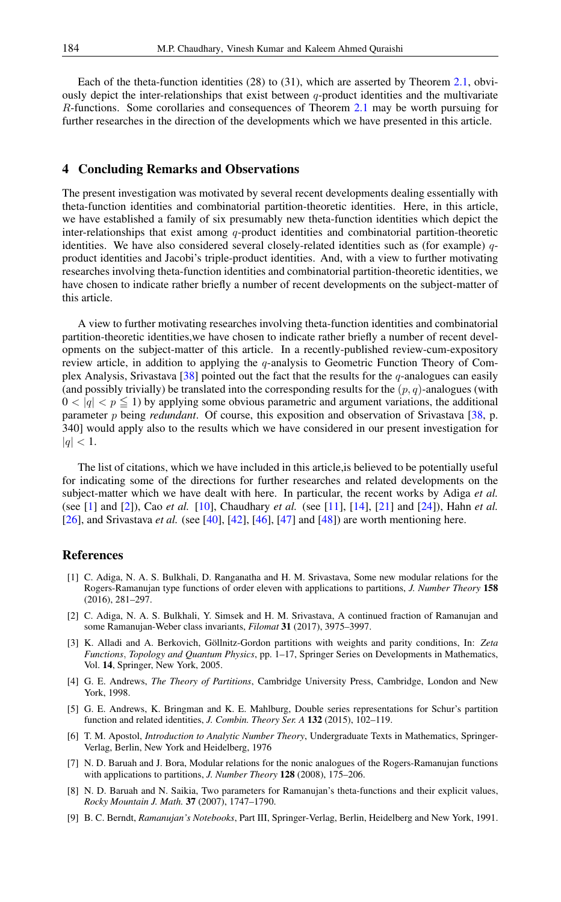Each of the theta-function identities (28) to (31), which are asserted by Theorem [2.1,](#page-4-0) obviously depict the inter-relationships that exist between  $q$ -product identities and the multivariate R-functions. Some corollaries and consequences of Theorem [2.1](#page-4-0) may be worth pursuing for further researches in the direction of the developments which we have presented in this article.

### 4 Concluding Remarks and Observations

The present investigation was motivated by several recent developments dealing essentially with theta-function identities and combinatorial partition-theoretic identities. Here, in this article, we have established a family of six presumably new theta-function identities which depict the inter-relationships that exist among  $q$ -product identities and combinatorial partition-theoretic identities. We have also considered several closely-related identities such as (for example)  $q$ product identities and Jacobi's triple-product identities. And, with a view to further motivating researches involving theta-function identities and combinatorial partition-theoretic identities, we have chosen to indicate rather briefly a number of recent developments on the subject-matter of this article.

A view to further motivating researches involving theta-function identities and combinatorial partition-theoretic identities,we have chosen to indicate rather briefly a number of recent developments on the subject-matter of this article. In a recently-published review-cum-expository review article, in addition to applying the q-analysis to Geometric Function Theory of Com-plex Analysis, Srivastava [\[38\]](#page-9-6) pointed out the fact that the results for the  $q$ -analogues can easily (and possibly trivially) be translated into the corresponding results for the  $(p, q)$ -analogues (with  $0 < |q| < p \le 1$ ) by applying some obvious parametric and argument variations, the additional parameter p being *redundant*. Of course, this exposition and observation of Srivastava [\[38,](#page-9-6) p. 340] would apply also to the results which we have considered in our present investigation for  $|q| < 1.$ 

The list of citations, which we have included in this article,is believed to be potentially useful for indicating some of the directions for further researches and related developments on the subject-matter which we have dealt with here. In particular, the recent works by Adiga *et al.* (see [\[1\]](#page-7-7) and [\[2\]](#page-7-6)), Cao *et al.* [\[10\]](#page-8-17), Chaudhary *et al.* (see [\[11\]](#page-8-6), [\[14\]](#page-8-18), [\[21\]](#page-8-19) and [\[24\]](#page-8-8)), Hahn *et al.* [\[26\]](#page-8-14), and Srivastava *et al.* (see [\[40\]](#page-9-7), [\[42\]](#page-9-8), [\[46\]](#page-9-9), [\[47\]](#page-9-10) and [\[48\]](#page-9-5)) are worth mentioning here.

#### <span id="page-7-0"></span>References

- <span id="page-7-7"></span>[1] C. Adiga, N. A. S. Bulkhali, D. Ranganatha and H. M. Srivastava, Some new modular relations for the Rogers-Ramanujan type functions of order eleven with applications to partitions, *J. Number Theory* 158 (2016), 281–297.
- <span id="page-7-6"></span>[2] C. Adiga, N. A. S. Bulkhali, Y. Simsek and H. M. Srivastava, A continued fraction of Ramanujan and some Ramanujan-Weber class invariants, *Filomat* 31 (2017), 3975–3997.
- [3] K. Alladi and A. Berkovich, Göllnitz-Gordon partitions with weights and parity conditions, In: *Zeta Functions*, *Topology and Quantum Physics*, pp. 1–17, Springer Series on Developments in Mathematics, Vol. 14, Springer, New York, 2005.
- [4] G. E. Andrews, *The Theory of Partitions*, Cambridge University Press, Cambridge, London and New York, 1998.
- <span id="page-7-4"></span>[5] G. E. Andrews, K. Bringman and K. E. Mahlburg, Double series representations for Schur's partition function and related identities, *J. Combin. Theory Ser. A* 132 (2015), 102–119.
- <span id="page-7-3"></span>[6] T. M. Apostol, *Introduction to Analytic Number Theory*, Undergraduate Texts in Mathematics, Springer-Verlag, Berlin, New York and Heidelberg, 1976
- <span id="page-7-2"></span>[7] N. D. Baruah and J. Bora, Modular relations for the nonic analogues of the Rogers-Ramanujan functions with applications to partitions, *J. Number Theory* 128 (2008), 175–206.
- <span id="page-7-5"></span>[8] N. D. Baruah and N. Saikia, Two parameters for Ramanujan's theta-functions and their explicit values, *Rocky Mountain J. Math.* 37 (2007), 1747–1790.
- <span id="page-7-1"></span>[9] B. C. Berndt, *Ramanujan's Notebooks*, Part III, Springer-Verlag, Berlin, Heidelberg and New York, 1991.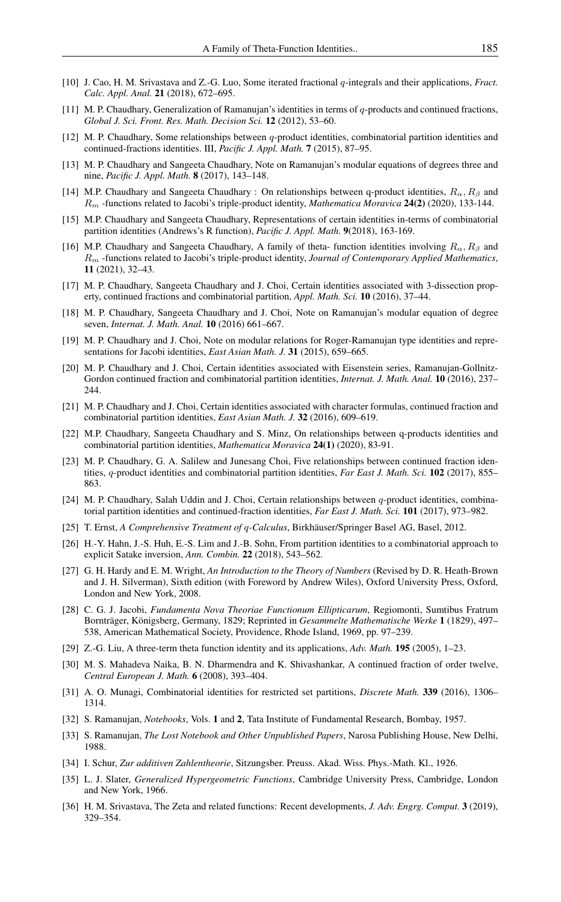- <span id="page-8-17"></span>[10] J. Cao, H. M. Srivastava and Z.-G. Luo, Some iterated fractional q-integrals and their applications, *Fract. Calc. Appl. Anal.* 21 (2018), 672–695.
- <span id="page-8-6"></span>[11] M. P. Chaudhary, Generalization of Ramanujan's identities in terms of q-products and continued fractions, *Global J. Sci. Front. Res. Math. Decision Sci.* 12 (2012), 53–60.
- <span id="page-8-7"></span>[12] M. P. Chaudhary, Some relationships between q-product identities, combinatorial partition identities and continued-fractions identities. III, *Pacific J. Appl. Math.* 7 (2015), 87–95.
- <span id="page-8-12"></span>[13] M. P. Chaudhary and Sangeeta Chaudhary, Note on Ramanujan's modular equations of degrees three and nine, *Pacific J. Appl. Math.* 8 (2017), 143–148.
- <span id="page-8-18"></span>[14] M.P. Chaudhary and Sangeeta Chaudhary : On relationships between q-product identities,  $R_{\alpha}$ ,  $R_{\beta}$  and R<sup>m</sup> -functions related to Jacobi's triple-product identity, *Mathematica Moravica* 24(2) (2020), 133-144.
- [15] M.P. Chaudhary and Sangeeta Chaudhary, Representations of certain identities in-terms of combinatorial partition identities (Andrews's R function), *Pacific J. Appl. Math.* 9(2018), 163-169.
- [16] M.P. Chaudhary and Sangeeta Chaudhary, A family of theta- function identities involving  $R_\alpha, R_\beta$  and R<sup>m</sup> -functions related to Jacobi's triple-product identity, *Journal of Contemporary Applied Mathematics*, 11 (2021), 32–43.
- <span id="page-8-13"></span>[17] M. P. Chaudhary, Sangeeta Chaudhary and J. Choi, Certain identities associated with 3-dissection property, continued fractions and combinatorial partition, *Appl. Math. Sci.* 10 (2016), 37–44.
- <span id="page-8-11"></span>[18] M. P. Chaudhary, Sangeeta Chaudhary and J. Choi, Note on Ramanujan's modular equation of degree seven, *Internat. J. Math. Anal.* 10 (2016) 661–667.
- <span id="page-8-9"></span>[19] M. P. Chaudhary and J. Choi, Note on modular relations for Roger-Ramanujan type identities and representations for Jacobi identities, *East Asian Math. J.* 31 (2015), 659–665.
- <span id="page-8-10"></span>[20] M. P. Chaudhary and J. Choi, Certain identities associated with Eisenstein series, Ramanujan-Gollnitz-Gordon continued fraction and combinatorial partition identities, *Internat. J. Math. Anal.* 10 (2016), 237– 244.
- <span id="page-8-19"></span>[21] M. P. Chaudhary and J. Choi, Certain identities associated with character formulas, continued fraction and combinatorial partition identities, *East Asian Math. J.* 32 (2016), 609–619.
- [22] M.P. Chaudhary, Sangeeta Chaudhary and S. Minz, On relationships between q-products identities and combinatorial partition identities, *Mathematica Moravica* 24(1) (2020), 83-91.
- [23] M. P. Chaudhary, G. A. Salilew and Junesang Choi, Five relationships between continued fraction identities, q-product identities and combinatorial partition identities, *Far East J. Math. Sci.* 102 (2017), 855– 863.
- <span id="page-8-8"></span>[24] M. P. Chaudhary, Salah Uddin and J. Choi, Certain relationships between q-product identities, combinatorial partition identities and continued-fraction identities, *Far East J. Math. Sci.* 101 (2017), 973–982.
- <span id="page-8-0"></span>[25] T. Ernst, *A Comprehensive Treatment of* q*-Calculus*, Birkhäuser/Springer Basel AG, Basel, 2012.
- <span id="page-8-14"></span>[26] H.-Y. Hahn, J.-S. Huh, E.-S. Lim and J.-B. Sohn, From partition identities to a combinatorial approach to explicit Satake inversion, *Ann. Combin.* 22 (2018), 543–562.
- <span id="page-8-5"></span>[27] G. H. Hardy and E. M. Wright, *An Introduction to the Theory of Numbers* (Revised by D. R. Heath-Brown and J. H. Silverman), Sixth edition (with Foreword by Andrew Wiles), Oxford University Press, Oxford, London and New York, 2008.
- <span id="page-8-4"></span>[28] C. G. J. Jacobi, *Fundamenta Nova Theoriae Functionum Ellipticarum*, Regiomonti, Sumtibus Fratrum Bornträger, Königsberg, Germany, 1829; Reprinted in *Gesammelte Mathematische Werke* 1 (1829), 497– 538, American Mathematical Society, Providence, Rhode Island, 1969, pp. 97–239.
- <span id="page-8-16"></span>[29] Z.-G. Liu, A three-term theta function identity and its applications, *Adv. Math.* 195 (2005), 1–23.
- <span id="page-8-15"></span>[30] M. S. Mahadeva Naika, B. N. Dharmendra and K. Shivashankar, A continued fraction of order twelve, *Central European J. Math.* 6 (2008), 393–404.
- [31] A. O. Munagi, Combinatorial identities for restricted set partitions, *Discrete Math.* 339 (2016), 1306– 1314.
- <span id="page-8-2"></span>[32] S. Ramanujan, *Notebooks*, Vols. 1 and 2, Tata Institute of Fundamental Research, Bombay, 1957.
- <span id="page-8-3"></span>[33] S. Ramanujan, *The Lost Notebook and Other Unpublished Papers*, Narosa Publishing House, New Delhi, 1988.
- [34] I. Schur, *Zur additiven Zahlentheorie*, Sitzungsber. Preuss. Akad. Wiss. Phys.-Math. Kl., 1926.
- <span id="page-8-1"></span>[35] L. J. Slater, *Generalized Hypergeometric Functions*, Cambridge University Press, Cambridge, London and New York, 1966.
- [36] H. M. Srivastava, The Zeta and related functions: Recent developments, *J. Adv. Engrg. Comput*. 3 (2019), 329–354.